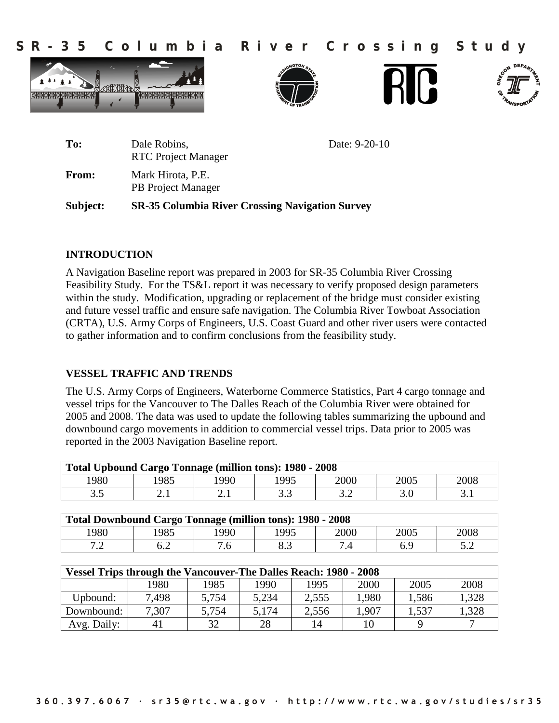**S R - 3 5 C o l u m b i a R i v e r C r o s s i n g S t u d y**









| Subject: | <b>SR-35 Columbia River Crossing Navigation Survey</b>      |
|----------|-------------------------------------------------------------|
| From:    | Mark Hirota, P.E.<br><b>PB</b> Project Manager              |
| To:      | Date: 9-20-10<br>Dale Robins,<br><b>RTC</b> Project Manager |

## **INTRODUCTION**

A Navigation Baseline report was prepared in 2003 for SR-35 Columbia River Crossing Feasibility Study. For the TS&L report it was necessary to verify proposed design parameters within the study. Modification, upgrading or replacement of the bridge must consider existing and future vessel traffic and ensure safe navigation. The Columbia River Towboat Association (CRTA), U.S. Army Corps of Engineers, U.S. Coast Guard and other river users were contacted to gather information and to confirm conclusions from the feasibility study.

## **VESSEL TRAFFIC AND TRENDS**

The U.S. Army Corps of Engineers, Waterborne Commerce Statistics, Part 4 cargo tonnage and vessel trips for the Vancouver to The Dalles Reach of the Columbia River were obtained for 2005 and 2008. The data was used to update the following tables summarizing the upbound and downbound cargo movements in addition to commercial vessel trips. Data prior to 2005 was reported in the 2003 Navigation Baseline report.

| <b>Total Upbound Cargo Tonnage (million tons): 1980 - 2008</b> |      |      |           |                        |      |      |  |
|----------------------------------------------------------------|------|------|-----------|------------------------|------|------|--|
| 1980                                                           | 985  | .990 | 1995      | 2000                   | 2005 | 2008 |  |
| ن ر                                                            | 2. l | 2. l | ົ<br>ن. ب | $\sim$ $\sim$<br>ے . ر |      |      |  |

| <b>Total Downbound Cargo Tonnage (million tons): 1980 - 2008</b> |     |      |      |              |      |      |  |
|------------------------------------------------------------------|-----|------|------|--------------|------|------|--|
| 1980                                                             | 985 | .990 | 1995 | 2000         | 2005 | 2008 |  |
| ¬ ∩<br>$\overline{\phantom{a}}$                                  | ∪.∠ | 7.6  | o.o  | $\mathbf{r}$ |      |      |  |

| <b>Vessel Trips through the Vancouver-The Dalles Reach: 1980 - 2008</b> |       |       |       |       |       |       |       |
|-------------------------------------------------------------------------|-------|-------|-------|-------|-------|-------|-------|
|                                                                         | 1980  | 1985  | 1990  | 1995  | 2000  | 2005  | 2008  |
| Upbound:                                                                | 7.498 | 5,754 | 5,234 | 2.555 | 1,980 | 1.586 | 1,328 |
| Downbound:                                                              | 7,307 | 5,754 | 5,174 | 2,556 | .907  | 1,537 | .328  |
| Avg. Daily:                                                             | 41    | 32    | 28    | 14    |       |       |       |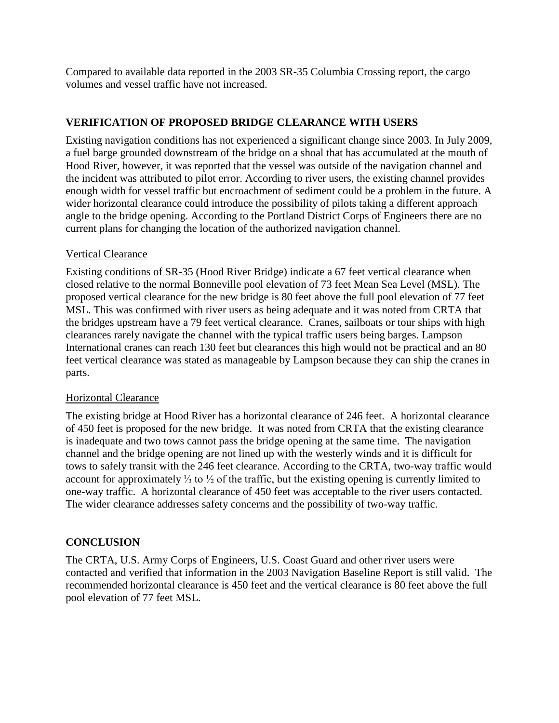Compared to available data reported in the 2003 SR-35 Columbia Crossing report, the cargo volumes and vessel traffic have not increased.

# **VERIFICATION OF PROPOSED BRIDGE CLEARANCE WITH USERS**

Existing navigation conditions has not experienced a significant change since 2003. In July 2009, a fuel barge grounded downstream of the bridge on a shoal that has accumulated at the mouth of Hood River, however, it was reported that the vessel was outside of the navigation channel and the incident was attributed to pilot error. According to river users, the existing channel provides enough width for vessel traffic but encroachment of sediment could be a problem in the future. A wider horizontal clearance could introduce the possibility of pilots taking a different approach angle to the bridge opening. According to the Portland District Corps of Engineers there are no current plans for changing the location of the authorized navigation channel.

## Vertical Clearance

Existing conditions of SR-35 (Hood River Bridge) indicate a 67 feet vertical clearance when closed relative to the normal Bonneville pool elevation of 73 feet Mean Sea Level (MSL). The proposed vertical clearance for the new bridge is 80 feet above the full pool elevation of 77 feet MSL. This was confirmed with river users as being adequate and it was noted from CRTA that the bridges upstream have a 79 feet vertical clearance. Cranes, sailboats or tour ships with high clearances rarely navigate the channel with the typical traffic users being barges. Lampson International cranes can reach 130 feet but clearances this high would not be practical and an 80 feet vertical clearance was stated as manageable by Lampson because they can ship the cranes in parts.

## Horizontal Clearance

The existing bridge at Hood River has a horizontal clearance of 246 feet. A horizontal clearance of 450 feet is proposed for the new bridge. It was noted from CRTA that the existing clearance is inadequate and two tows cannot pass the bridge opening at the same time. The navigation channel and the bridge opening are not lined up with the westerly winds and it is difficult for tows to safely transit with the 246 feet clearance. According to the CRTA, two-way traffic would account for approximately ⅓ to ½ of the traffic, but the existing opening is currently limited to one-way traffic. A horizontal clearance of 450 feet was acceptable to the river users contacted. The wider clearance addresses safety concerns and the possibility of two-way traffic.

# **CONCLUSION**

The CRTA, U.S. Army Corps of Engineers, U.S. Coast Guard and other river users were contacted and verified that information in the 2003 Navigation Baseline Report is still valid. The recommended horizontal clearance is 450 feet and the vertical clearance is 80 feet above the full pool elevation of 77 feet MSL.